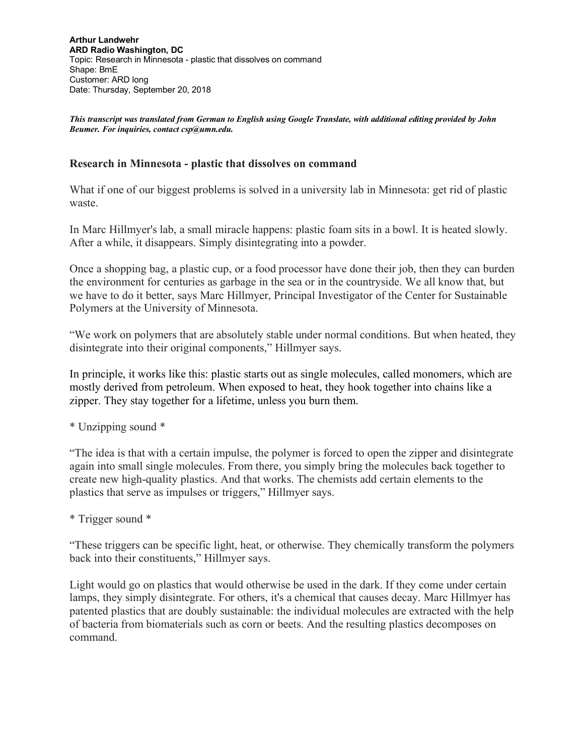*This transcript was translated from German to English using Google Translate, with additional editing provided by John Beumer. For inquiries, contact csp@umn.edu.* 

## **Research in Minnesota - plastic that dissolves on command**

What if one of our biggest problems is solved in a university lab in Minnesota: get rid of plastic waste.

In Marc Hillmyer's lab, a small miracle happens: plastic foam sits in a bowl. It is heated slowly. After a while, it disappears. Simply disintegrating into a powder.

Once a shopping bag, a plastic cup, or a food processor have done their job, then they can burden the environment for centuries as garbage in the sea or in the countryside. We all know that, but we have to do it better, says Marc Hillmyer, Principal Investigator of the Center for Sustainable Polymers at the University of Minnesota.

"We work on polymers that are absolutely stable under normal conditions. But when heated, they disintegrate into their original components," Hillmyer says.

In principle, it works like this: plastic starts out as single molecules, called monomers, which are mostly derived from petroleum. When exposed to heat, they hook together into chains like a zipper. They stay together for a lifetime, unless you burn them.

\* Unzipping sound \*

"The idea is that with a certain impulse, the polymer is forced to open the zipper and disintegrate again into small single molecules. From there, you simply bring the molecules back together to create new high-quality plastics. And that works. The chemists add certain elements to the plastics that serve as impulses or triggers," Hillmyer says.

\* Trigger sound \*

"These triggers can be specific light, heat, or otherwise. They chemically transform the polymers back into their constituents," Hillmyer says.

Light would go on plastics that would otherwise be used in the dark. If they come under certain lamps, they simply disintegrate. For others, it's a chemical that causes decay. Marc Hillmyer has patented plastics that are doubly sustainable: the individual molecules are extracted with the help of bacteria from biomaterials such as corn or beets. And the resulting plastics decomposes on command.